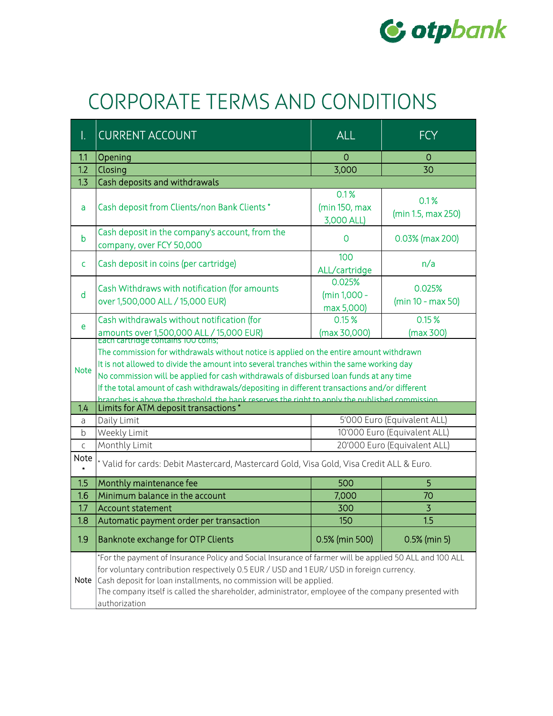

## CORPORATE TERMS AND CONDITIONS

| Ι.              | <b>CURRENT ACCOUNT</b>                                                                                                                                                                                                                                                                                                                                                                                                                                                          | <b>ALL</b>                           | <b>FCY</b>                   |  |
|-----------------|---------------------------------------------------------------------------------------------------------------------------------------------------------------------------------------------------------------------------------------------------------------------------------------------------------------------------------------------------------------------------------------------------------------------------------------------------------------------------------|--------------------------------------|------------------------------|--|
| 1.1             | Opening                                                                                                                                                                                                                                                                                                                                                                                                                                                                         | $\mathbf 0$                          | 0                            |  |
| 1.2             | Closing                                                                                                                                                                                                                                                                                                                                                                                                                                                                         | 3,000                                | 30                           |  |
| 1.3             | Cash deposits and withdrawals                                                                                                                                                                                                                                                                                                                                                                                                                                                   |                                      |                              |  |
| a               | Cash deposit from Clients/non Bank Clients*                                                                                                                                                                                                                                                                                                                                                                                                                                     | 0.1%<br>(min 150, max<br>3,000 ALL)  | 0.1%<br>(min 1.5, max 250)   |  |
| $\mathsf b$     | Cash deposit in the company's account, from the<br>company, over FCY 50,000                                                                                                                                                                                                                                                                                                                                                                                                     | 0                                    | 0.03% (max 200)              |  |
| c               | Cash deposit in coins (per cartridge)                                                                                                                                                                                                                                                                                                                                                                                                                                           | 100<br>ALL/cartridge                 | n/a                          |  |
| $\mathsf{d}$    | Cash Withdraws with notification (for amounts<br>over 1,500,000 ALL / 15,000 EUR)                                                                                                                                                                                                                                                                                                                                                                                               | 0.025%<br>(min 1,000 -<br>max 5,000) | 0.025%<br>(min 10 - max 50)  |  |
| e               | Cash withdrawals without notification (for<br>amounts over 1,500,000 ALL / 15,000 EUR)<br>Each cartridge contains foo coins;                                                                                                                                                                                                                                                                                                                                                    | 0.15%<br>(max 30,000)                | 0.15%<br>(max 300)           |  |
| <b>Note</b>     | The commission for withdrawals without notice is applied on the entire amount withdrawn<br>It is not allowed to divide the amount into several tranches within the same working day<br>No commission will be applied for cash withdrawals of disbursed loan funds at any time<br>If the total amount of cash withdrawals/depositing in different transactions and/or different<br>branches is above the threshold the bank reserves the right to apply the published commission |                                      |                              |  |
| 1.4             | Limits for ATM deposit transactions                                                                                                                                                                                                                                                                                                                                                                                                                                             |                                      |                              |  |
| a               | Daily Limit                                                                                                                                                                                                                                                                                                                                                                                                                                                                     |                                      | 5'000 Euro (Equivalent ALL)  |  |
| b               | Weekly Limit                                                                                                                                                                                                                                                                                                                                                                                                                                                                    |                                      | 10'000 Euro (Equivalent ALL) |  |
| $\mathsf C$     | Monthly Limit                                                                                                                                                                                                                                                                                                                                                                                                                                                                   |                                      | 20'000 Euro (Equivalent ALL) |  |
| Note<br>$\star$ | * Valid for cards: Debit Mastercard, Mastercard Gold, Visa Gold, Visa Credit ALL & Euro.                                                                                                                                                                                                                                                                                                                                                                                        |                                      |                              |  |
| 1.5             | Monthly maintenance fee                                                                                                                                                                                                                                                                                                                                                                                                                                                         | 500                                  | 5                            |  |
| 1.6             | Minimum balance in the account                                                                                                                                                                                                                                                                                                                                                                                                                                                  | 7,000                                | 70                           |  |
| 1.7             | <b>Account statement</b>                                                                                                                                                                                                                                                                                                                                                                                                                                                        | 300                                  | $\overline{3}$               |  |
| 1.8             | Automatic payment order per transaction                                                                                                                                                                                                                                                                                                                                                                                                                                         | 150                                  | 1.5                          |  |
| 1.9             | Banknote exchange for OTP Clients                                                                                                                                                                                                                                                                                                                                                                                                                                               | 0.5% (min 500)                       | 0.5% (min 5)                 |  |
| Note            | For the payment of Insurance Policy and Social Insurance of farmer will be applied 50 ALL and 100 ALL*<br>for voluntary contribution respectively 0.5 EUR / USD and 1 EUR/ USD in foreign currency.<br>Cash deposit for loan installments, no commission will be applied.<br>The company itself is called the shareholder, administrator, employee of the company presented with<br>authorization                                                                               |                                      |                              |  |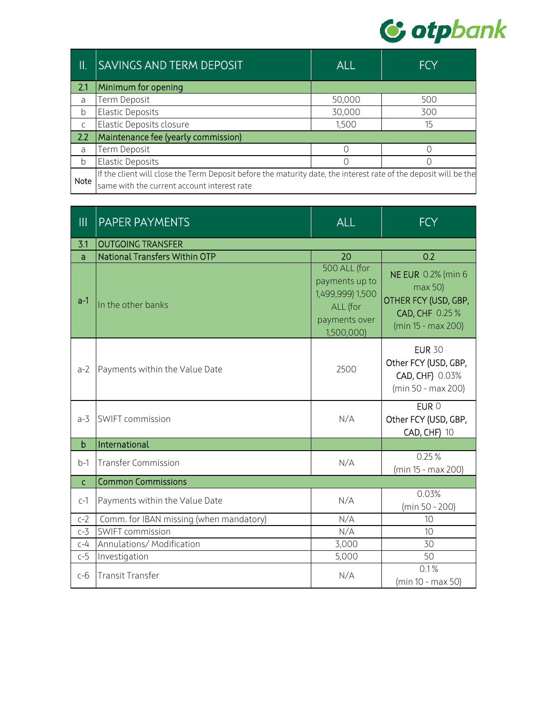

| Π.           | <b>SAVINGS AND TERM DEPOSIT</b>                                                                                  | <b>ALL</b> | <b>FCY</b> |
|--------------|------------------------------------------------------------------------------------------------------------------|------------|------------|
| 2.1          | Minimum for opening                                                                                              |            |            |
| a            | Term Deposit                                                                                                     | 50,000     | 500        |
| b            | <b>Elastic Deposits</b>                                                                                          | 30,000     | 300        |
| $\mathsf{C}$ | Elastic Deposits closure                                                                                         | 1,500      | 15         |
| 2.2          | Maintenance fee (yearly commission)                                                                              |            |            |
| a            | Term Deposit                                                                                                     |            |            |
| b            | <b>Elastic Deposits</b>                                                                                          |            |            |
| Note         | If the client will close the Term Deposit before the maturity date, the interest rate of the deposit will be the |            |            |
|              | same with the current account interest rate                                                                      |            |            |

| $\mathbf{III}$ | PAPER PAYMENTS                          | <b>ALL</b>                                                                                    | <b>FCY</b>                                                                                           |
|----------------|-----------------------------------------|-----------------------------------------------------------------------------------------------|------------------------------------------------------------------------------------------------------|
| 3.1            | <b>OUTGOING TRANSFER</b>                |                                                                                               |                                                                                                      |
| a              | <b>National Transfers Within OTP</b>    | 20                                                                                            | 0.2                                                                                                  |
| $a-1$          | In the other banks                      | 500 ALL (for<br>payments up to<br>1,499,999) 1,500<br>ALL (for<br>payments over<br>1,500,000) | <b>NE EUR 0.2% (min 6</b><br>max 50)<br>OTHER FCY (USD, GBP,<br>CAD, CHF 0.25%<br>(min 15 - max 200) |
| $a-2$          | Payments within the Value Date          | 2500                                                                                          | <b>EUR 30</b><br>Other FCY (USD, GBP,<br>CAD, CHF) 0.03%<br>(min 50 - max 200)                       |
| $a-3$          | SWIFT commission                        | N/A                                                                                           | EUR 0<br>Other FCY (USD, GBP,<br><b>CAD, CHF) 10</b>                                                 |
| $\mathsf{b}$   | International                           |                                                                                               |                                                                                                      |
| $b-1$          | <b>Transfer Commission</b>              | N/A                                                                                           | 0.25%<br>(min 15 - max 200)                                                                          |
| $\mathsf{C}$   | <b>Common Commissions</b>               |                                                                                               |                                                                                                      |
| $c-1$          | Payments within the Value Date          | N/A                                                                                           | 0.03%<br>(min 50 - 200)                                                                              |
| $c-2$          | Comm. for IBAN missing (when mandatory) | N/A                                                                                           | 10                                                                                                   |
| $c-3$          | SWIFT commission                        | N/A                                                                                           | 10                                                                                                   |
| $C-4$          | Annulations/ Modification               | 3,000                                                                                         | 30                                                                                                   |
| $c-5$          | Investigation                           | 5,000                                                                                         | 50                                                                                                   |
| $c-6$          | <b>Transit Transfer</b>                 | N/A                                                                                           | 0.1%<br>(min 10 - max 50)                                                                            |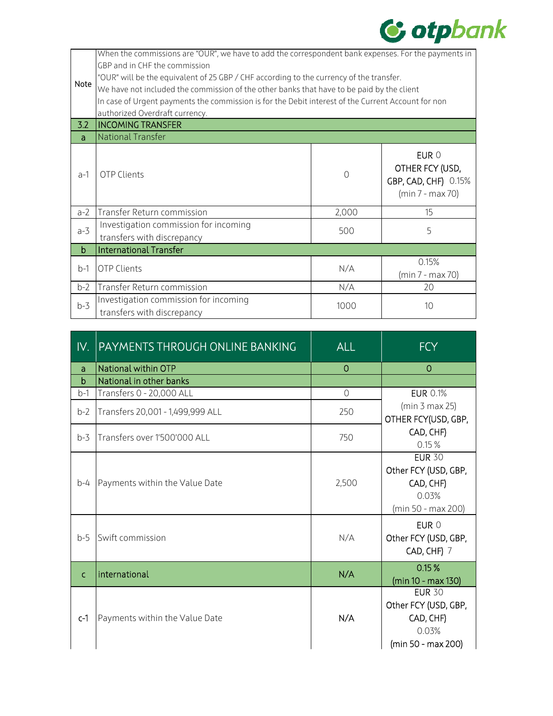

| Note<br>3.2 | When the commissions are "OUR", we have to add the correspondent bank expenses. For the payments in<br>GBP and in CHF the commission<br>"OUR" will be the equivalent of 25 GBP / CHF according to the currency of the transfer.<br>We have not included the commission of the other banks that have to be paid by the client<br>In case of Urgent payments the commission is for the Debit interest of the Current Account for non<br>authorized Overdraft currency.<br><b>INCOMING TRANSFER</b> |          |                                                                      |  |
|-------------|--------------------------------------------------------------------------------------------------------------------------------------------------------------------------------------------------------------------------------------------------------------------------------------------------------------------------------------------------------------------------------------------------------------------------------------------------------------------------------------------------|----------|----------------------------------------------------------------------|--|
| a           | National Transfer                                                                                                                                                                                                                                                                                                                                                                                                                                                                                |          |                                                                      |  |
| $a-1$       | <b>OTP Clients</b>                                                                                                                                                                                                                                                                                                                                                                                                                                                                               | $\Omega$ | EUR 0<br>OTHER FCY (USD,<br>GBP, CAD, CHF) 0.15%<br>(min 7 - max 70) |  |
| $a-2$       | Transfer Return commission                                                                                                                                                                                                                                                                                                                                                                                                                                                                       | 2,000    | 15                                                                   |  |
| $a-3$       | Investigation commission for incoming<br>transfers with discrepancy                                                                                                                                                                                                                                                                                                                                                                                                                              | 500      | 5                                                                    |  |
| $\mathbf b$ | <b>International Transfer</b>                                                                                                                                                                                                                                                                                                                                                                                                                                                                    |          |                                                                      |  |
| $b-1$       | <b>OTP Clients</b>                                                                                                                                                                                                                                                                                                                                                                                                                                                                               | N/A      | 0.15%<br>(min 7 - max 70)                                            |  |
| $b-2$       | Transfer Return commission                                                                                                                                                                                                                                                                                                                                                                                                                                                                       | N/A      | 20                                                                   |  |
| $b-3$       | Investigation commission for incoming<br>transfers with discrepancy                                                                                                                                                                                                                                                                                                                                                                                                                              | 1000     | 10                                                                   |  |

| IV.          | PAYMENTS THROUGH ONLINE BANKING  | <b>ALL</b> | <b>FCY</b>                                                                        |
|--------------|----------------------------------|------------|-----------------------------------------------------------------------------------|
| a            | National within OTP              | $\Omega$   | $\Omega$                                                                          |
| $\mathsf{b}$ | National in other banks          |            |                                                                                   |
| $b-1$        | Transfers 0 - 20,000 ALL         | $\Omega$   | <b>EUR 0.1%</b>                                                                   |
| $b-2$        | Transfers 20,001 - 1,499,999 ALL | 250        | (min 3 max 25)<br>OTHER FCY(USD, GBP,                                             |
| $b-3$        | Transfers over 1'500'000 ALL     | 750        | CAD, CHF)<br>0.15%                                                                |
| $b-4$        | Payments within the Value Date   | 2,500      | <b>EUR 30</b><br>Other FCY (USD, GBP,<br>CAD, CHF)<br>0.03%<br>(min 50 - max 200) |
| $b-5$        | Swift commission                 | N/A        | EUR 0<br>Other FCY (USD, GBP,<br>CAD, CHF) 7                                      |
| $\mathsf{C}$ | international                    | N/A        | 0.15%<br>(min 10 - max 130)                                                       |
| $c-1$        | Payments within the Value Date   | N/A        | <b>EUR 30</b><br>Other FCY (USD, GBP,<br>CAD, CHF)<br>0.03%<br>(min 50 - max 200) |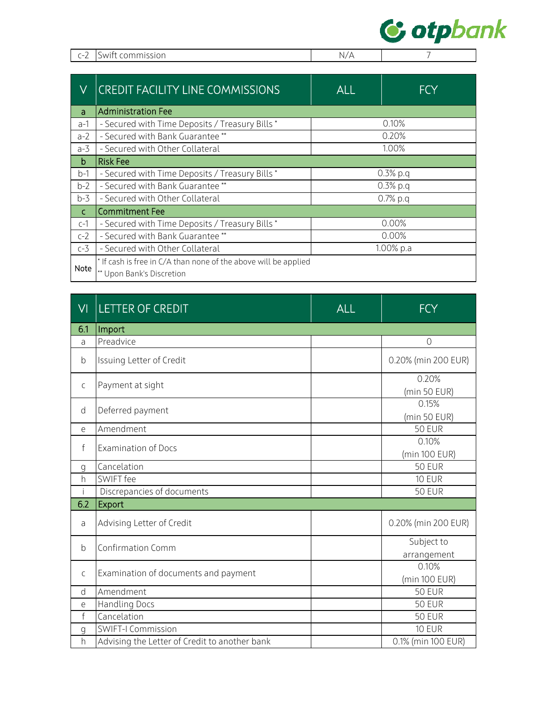

|  | c-2 ISwift commission | N. |  |
|--|-----------------------|----|--|
|--|-----------------------|----|--|

| V            | <b>CREDIT FACILITY LINE COMMISSIONS</b>                         | <b>ALL</b> | <b>FCY</b> |
|--------------|-----------------------------------------------------------------|------------|------------|
| a            | <b>Administration Fee</b>                                       |            |            |
| $a-1$        | - Secured with Time Deposits / Treasury Bills *                 |            | 0.10%      |
| $a-2$        | - Secured with Bank Guarantee **                                |            | 0.20%      |
| $a-3$        | - Secured with Other Collateral                                 | 1.00%      |            |
| b            | <b>Risk Fee</b>                                                 |            |            |
| $b-1$        | - Secured with Time Deposits / Treasury Bills *                 | $0.3%$ p.q |            |
| $b-2$        | - Secured with Bank Guarantee**                                 | $0.3%$ p.q |            |
| $b-3$        | - Secured with Other Collateral                                 | $0.7%$ p.q |            |
| $\mathsf{C}$ | <b>Commitment Fee</b>                                           |            |            |
| $c-1$        | - Secured with Time Deposits / Treasury Bills *                 | 0.00%      |            |
| $c-2$        | - Secured with Bank Guarantee **                                | 0.00%      |            |
| $c-3$        | - Secured with Other Collateral                                 | 1.00% p.a  |            |
|              | * If cash is free in C/A than none of the above will be applied |            |            |
| <b>Note</b>  | ** Upon Bank's Discretion                                       |            |            |

| VI           | <b>LETTER OF CREDIT</b>                       | <b>ALL</b> | <b>FCY</b>                |
|--------------|-----------------------------------------------|------------|---------------------------|
| 6.1          | Import                                        |            |                           |
| a            | Preadvice                                     |            | $\overline{O}$            |
| b            | Issuing Letter of Credit                      |            | 0.20% (min 200 EUR)       |
| $\mathsf{C}$ | Payment at sight                              |            | 0.20%<br>(min 50 EUR)     |
| d            | Deferred payment                              |            | 0.15%<br>(min 50 EUR)     |
| e            | Amendment                                     |            | <b>50 EUR</b>             |
| $\mathsf{f}$ | <b>Examination of Docs</b>                    |            | 0.10%<br>(min 100 EUR)    |
| g            | Cancelation                                   |            | <b>50 EUR</b>             |
| h            | SWIFT fee                                     |            | <b>10 EUR</b>             |
| j.           | Discrepancies of documents                    |            | <b>50 EUR</b>             |
| 6.2          | Export                                        |            |                           |
| a            | Advising Letter of Credit                     |            | 0.20% (min 200 EUR)       |
| b            | <b>Confirmation Comm</b>                      |            | Subject to<br>arrangement |
| $\mathsf C$  | Examination of documents and payment          |            | 0.10%<br>(min 100 EUR)    |
| d            | Amendment                                     |            | <b>50 EUR</b>             |
| е            | <b>Handling Docs</b>                          |            | <b>50 EUR</b>             |
| $\mathsf f$  | Cancelation                                   |            | <b>50 EUR</b>             |
| g            | <b>SWIFT-I Commission</b>                     |            | <b>10 EUR</b>             |
| h            | Advising the Letter of Credit to another bank |            | 0.1% (min 100 EUR)        |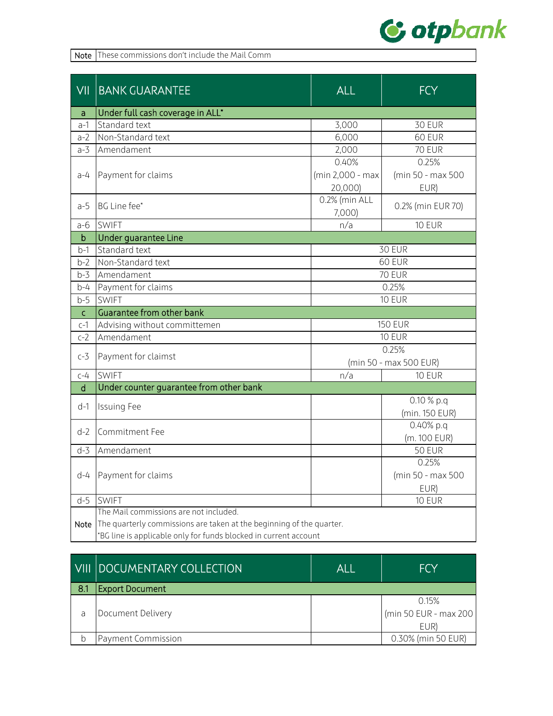

Note These commissions don't include the Mail Comm

| $\overline{\overline{\text{V}}\text{II}}$ | <b>BANK GUARANTEE</b>                                                | ALL              | <b>FCY</b>             |
|-------------------------------------------|----------------------------------------------------------------------|------------------|------------------------|
| a                                         | Under full cash coverage in ALL*                                     |                  |                        |
| $a-1$                                     | Standard text                                                        | 3,000            | 30 EUR                 |
| $a-2$                                     | Non-Standard text                                                    | 6,000            | 60 EUR                 |
| $a-3$                                     | Amendament                                                           | 2,000            | <b>70 EUR</b>          |
|                                           |                                                                      | 0.40%            | 0.25%                  |
| $a-4$                                     | Payment for claims                                                   | (min 2,000 - max | (min 50 - max 500      |
|                                           |                                                                      | 20,000)          | EUR)                   |
| $a-5$                                     | BG Line fee*                                                         | 0.2% (min ALL    | 0.2% (min EUR 70)      |
|                                           |                                                                      | 7,000)           |                        |
| $a-6$                                     | <b>SWIFT</b>                                                         | n/a              | <b>10 EUR</b>          |
| $\mathsf b$                               | Under guarantee Line                                                 |                  |                        |
| b-1                                       | Standard text                                                        |                  | <b>30 EUR</b>          |
| $b-2$                                     | Non-Standard text                                                    |                  | 60 EUR                 |
| $b-3$                                     | Amendament                                                           |                  | <b>70 EUR</b>          |
| b-4                                       | Payment for claims                                                   | 0.25%            |                        |
| $b-5$                                     | <b>SWIFT</b>                                                         |                  | <b>10 EUR</b>          |
| C                                         | Guarantee from other bank                                            |                  |                        |
| $c-1$                                     | Advising without committemen                                         | <b>150 EUR</b>   |                        |
| $c-2$                                     | Amendament                                                           |                  | <b>10 EUR</b>          |
| $c-3$                                     | Payment for claimst                                                  |                  | 0.25%                  |
|                                           |                                                                      |                  | (min 50 - max 500 EUR) |
| c-4                                       | <b>SWIFT</b>                                                         | n/a              | <b>10 EUR</b>          |
| $\sf d$                                   | Under counter guarantee from other bank                              |                  |                        |
| $d-1$                                     | <b>Issuing Fee</b>                                                   |                  | $0.10 %$ p.q           |
|                                           |                                                                      |                  | (min. 150 EUR)         |
| $d-2$                                     | Commitment Fee                                                       |                  | 0.40% p.q              |
|                                           |                                                                      |                  | (m. 100 EUR)           |
| $d-3$                                     | Amendament                                                           |                  | <b>50 EUR</b>          |
|                                           |                                                                      |                  | 0.25%                  |
| $d-4$                                     | Payment for claims                                                   |                  | (min 50 - max 500      |
|                                           |                                                                      |                  | EUR)                   |
| $d-5$                                     | <b>SWIFT</b>                                                         |                  | <b>10 EUR</b>          |
|                                           | The Mail commissions are not included.                               |                  |                        |
| Note                                      | The quarterly commissions are taken at the beginning of the quarter. |                  |                        |
|                                           | *BG line is applicable only for funds blocked in current account     |                  |                        |

|      | VIII DOCUMENTARY COLLECTION | ALI | <b>FCY</b>            |
|------|-----------------------------|-----|-----------------------|
| -8.1 | <b>Export Document</b>      |     |                       |
|      |                             |     | 0.15%                 |
| a    | Document Delivery           |     | (min 50 EUR - max 200 |
|      |                             |     | EUR)                  |
|      | Payment Commission          |     | 0.30% (min 50 EUR)    |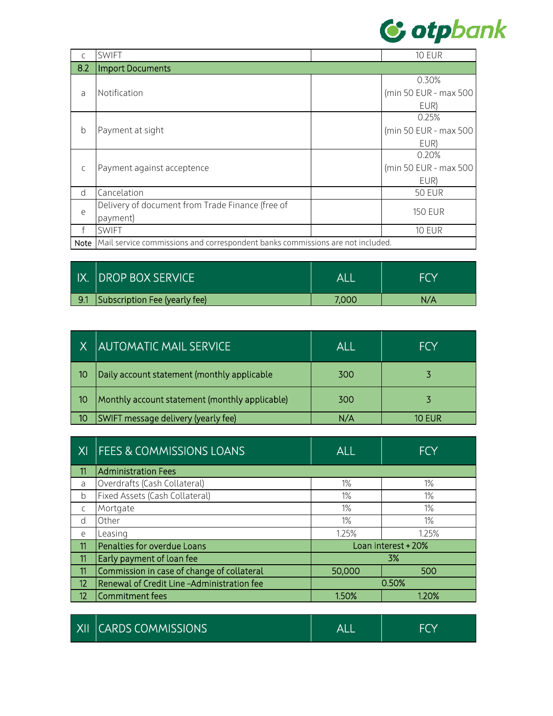

| C    | <b>SWIFT</b>                                                                   |  | <b>10 EUR</b>         |
|------|--------------------------------------------------------------------------------|--|-----------------------|
| 8.2  | <b>Import Documents</b>                                                        |  |                       |
|      |                                                                                |  | 0.30%                 |
| a    | Notification                                                                   |  | (min 50 EUR - max 500 |
|      |                                                                                |  | EUR)                  |
|      |                                                                                |  | 0.25%                 |
| b    | Payment at sight                                                               |  | (min 50 EUR - max 500 |
|      |                                                                                |  | EUR)                  |
|      | Payment against acceptence                                                     |  | 0.20%                 |
| C    |                                                                                |  | (min 50 EUR - max 500 |
|      |                                                                                |  | EUR)                  |
| d    | Cancelation                                                                    |  | <b>50 EUR</b>         |
|      | Delivery of document from Trade Finance (free of                               |  | <b>150 EUR</b>        |
| e    | payment)                                                                       |  |                       |
| f    | <b>SWIFT</b>                                                                   |  | <b>10 EUR</b>         |
| Note | Mail service commissions and correspondent banks commissions are not included. |  |                       |

| IX.  DROP BOX SERVICE             | ALI   |     |
|-----------------------------------|-------|-----|
| 9.1 Subscription Fee (yearly fee) | 7,000 | N/A |

|    | X LAUTOMATIC MAIL SERVICE                      | ALL | <b>FCY</b> |
|----|------------------------------------------------|-----|------------|
| 10 | Daily account statement (monthly applicable    | 300 |            |
| 10 | Monthly account statement (monthly applicable) | 300 |            |
| 10 | SWIFT message delivery (yearly fee)            | N/A | 10 FUR     |

| XI           | <b>FEES &amp; COMMISSIONS LOANS</b>        | <b>ALL</b> | <b>FCY</b>          |
|--------------|--------------------------------------------|------------|---------------------|
| 11           | <b>Administration Fees</b>                 |            |                     |
| a            | Overdrafts (Cash Collateral)               | $1\%$      | 1%                  |
| b            | Fixed Assets (Cash Collateral)             | 1%         | 1%                  |
| $\mathsf{C}$ | Mortgate                                   | $1\%$      | $1\%$               |
| d            | Other                                      | $1\%$      | $1\%$               |
| e            | Leasing                                    | 1.25%      | 1.25%               |
| 11           | Penalties for overdue Loans                |            | Loan interest + 20% |
| 11           | Early payment of loan fee                  |            | 3%                  |
| 11           | Commission in case of change of collateral | 50,000     | 500                 |
| 12           | Renewal of Credit Line-Administration fee  | 0.50%      |                     |
| 12           | Commitment fees                            | 1.50%      | 1.20%               |
|              |                                            |            |                     |

|  | XII CARDS COMMISSIONS | <b>AL</b> |  |
|--|-----------------------|-----------|--|
|--|-----------------------|-----------|--|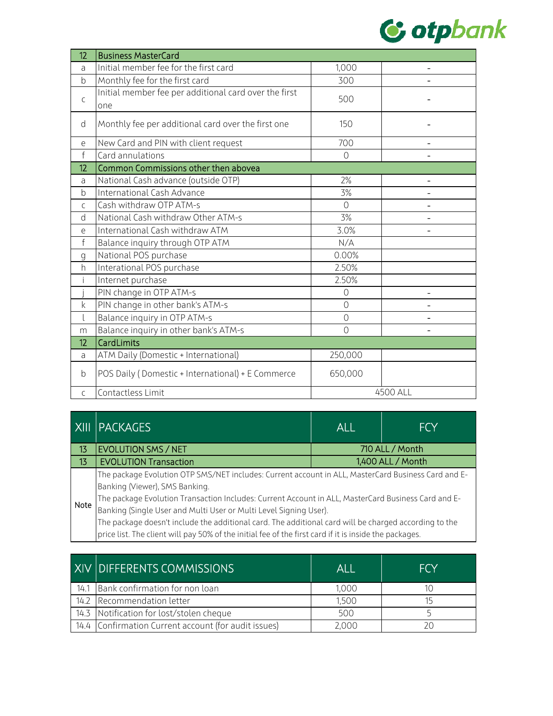

| 12             | <b>Business MasterCard</b>                                   |                |          |
|----------------|--------------------------------------------------------------|----------------|----------|
| a              | Initial member fee for the first card                        | 1,000          |          |
| $\mathsf b$    | Monthly fee for the first card                               | 300            |          |
| $\mathsf{C}$   | Initial member fee per additional card over the first<br>one | 500            |          |
| d              | Monthly fee per additional card over the first one           | 150            |          |
| е              | New Card and PIN with client request                         | 700            | -        |
| $\mathsf{f}$   | Card annulations                                             | $\overline{O}$ |          |
| 12             | Common Commissions other then abovea                         |                |          |
| a              | National Cash advance (outside OTP)                          | 2%             |          |
| b              | International Cash Advance                                   | 3%             |          |
| $\mathsf{C}$   | Cash withdraw OTP ATM-s                                      | $\overline{O}$ |          |
| d              | National Cash withdraw Other ATM-s                           | 3%             |          |
| e              | International Cash withdraw ATM                              | 3.0%           |          |
| f              | Balance inquiry through OTP ATM                              | N/A            |          |
| g              | National POS purchase                                        | 0.00%          |          |
| h              | Interational POS purchase                                    | 2.50%          |          |
|                | Internet purchase                                            | 2.50%          |          |
|                | PIN change in OTP ATM-s                                      | $\circ$        |          |
| $\mathsf k$    | PIN change in other bank's ATM-s                             | $\overline{O}$ |          |
|                | Balance inquiry in OTP ATM-s                                 | $\overline{O}$ |          |
| m              | Balance inquiry in other bank's ATM-s                        | $\overline{O}$ |          |
| 12             | CardLimits                                                   |                |          |
| a              | ATM Daily (Domestic + International)                         | 250,000        |          |
| b              | POS Daily (Domestic + International) + E Commerce            | 650,000        |          |
| $\overline{C}$ | Contactless Limit                                            |                | 4500 ALL |

|             | XIII   PACKAGES                                                                                                                                                                                                                                                                                                                                                                                                                                                                                                                      | <b>ALL</b>        | <b>FCY</b> |
|-------------|--------------------------------------------------------------------------------------------------------------------------------------------------------------------------------------------------------------------------------------------------------------------------------------------------------------------------------------------------------------------------------------------------------------------------------------------------------------------------------------------------------------------------------------|-------------------|------------|
| 13          | <b>EVOLUTION SMS / NET</b>                                                                                                                                                                                                                                                                                                                                                                                                                                                                                                           | 710 ALL / Month   |            |
| 13          | <b>EVOLUTION Transaction</b>                                                                                                                                                                                                                                                                                                                                                                                                                                                                                                         | 1,400 ALL / Month |            |
| <b>Note</b> | The package Evolution OTP SMS/NET includes: Current account in ALL, MasterCard Business Card and E-<br>Banking (Viewer), SMS Banking.<br>The package Evolution Transaction Includes: Current Account in ALL, MasterCard Business Card and E-<br>Banking (Single User and Multi User or Multi Level Signing User).<br>The package doesn't include the additional card. The additional card will be charged according to the<br>price list. The client will pay 50% of the initial fee of the first card if it is inside the packages. |                   |            |

| XIV DIFFERENTS COMMISSIONS                           | ALL   | <b>FCY</b> |
|------------------------------------------------------|-------|------------|
| 14.1 Bank confirmation for non loan                  | 1,000 |            |
| 14.2 Recommendation letter                           | 1,500 |            |
| 14.3 Notification for lost/stolen cheque             | 500   |            |
| 14.4 Confirmation Current account (for audit issues) | 2,000 |            |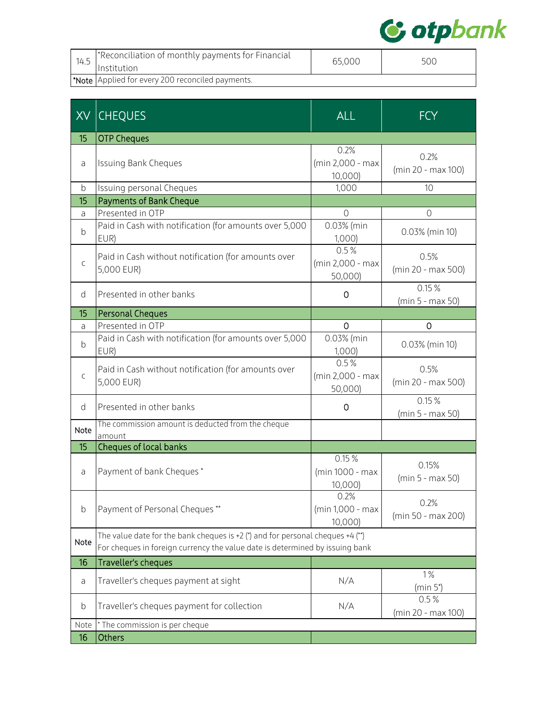

| 14.5 | *Reconciliation of monthly payments for Financial<br>Institution | 65,000 | 500 |
|------|------------------------------------------------------------------|--------|-----|
|      | Note Applied for every 200 reconciled payments.                  |        |     |

| XX          | <b>CHEQUES</b>                                                                                                                                                    | <b>ALL</b>                          | <b>FCY</b>                 |
|-------------|-------------------------------------------------------------------------------------------------------------------------------------------------------------------|-------------------------------------|----------------------------|
| 15          | <b>OTP Cheques</b>                                                                                                                                                |                                     |                            |
| a           | <b>Issuing Bank Cheques</b>                                                                                                                                       | 0.2%<br>(min 2,000 - max<br>10,000  | 0.2%<br>(min 20 - max 100) |
| b           | Issuing personal Cheques                                                                                                                                          | 1,000                               | 10                         |
| 15          | <b>Payments of Bank Cheque</b>                                                                                                                                    |                                     |                            |
| a           | Presented in OTP                                                                                                                                                  | $\overline{0}$                      | $\mathcal{O}$              |
| b           | Paid in Cash with notification (for amounts over 5,000<br>EUR)                                                                                                    | 0.03% (min<br>1,000                 | 0.03% (min 10)             |
| C           | Paid in Cash without notification (for amounts over<br>5,000 EUR)                                                                                                 | 0.5%<br>(min 2,000 - max<br>50,000) | 0.5%<br>(min 20 - max 500) |
| d           | Presented in other banks                                                                                                                                          | 0                                   | 0.15%<br>(min 5 - max 50)  |
| 15          | <b>Personal Cheques</b>                                                                                                                                           |                                     |                            |
| a           | Presented in OTP                                                                                                                                                  | $\Omega$                            | 0                          |
| b           | Paid in Cash with notification (for amounts over 5,000<br>EUR)                                                                                                    | 0.03% (min<br>1,000)                | 0.03% (min 10)             |
| $\mathsf C$ | Paid in Cash without notification (for amounts over<br>5,000 EUR)                                                                                                 | 0.5%<br>(min 2,000 - max<br>50,000) | 0.5%<br>(min 20 - max 500) |
| d           | Presented in other banks                                                                                                                                          | 0                                   | 0.15%<br>(min 5 - max 50)  |
| Note        | The commission amount is deducted from the cheque<br>amount                                                                                                       |                                     |                            |
| 15          | Cheques of local banks                                                                                                                                            |                                     |                            |
| a           | Payment of bank Cheques*                                                                                                                                          | 0.15%<br>(min 1000 - max<br>10,000) | 0.15%<br>(min 5 - max 50)  |
| b           | Payment of Personal Cheques **                                                                                                                                    | 0.2%<br>(min 1,000 - max<br>10,000) | 0.2%<br>(min 50 - max 200) |
| Note        | The value date for the bank cheques is +2 $(*)$ and for personal cheques +4 $(*)$<br>For cheques in foreign currency the value date is determined by issuing bank |                                     |                            |
| 16          | Traveller's cheques                                                                                                                                               |                                     |                            |
| a           | Traveller's cheques payment at sight                                                                                                                              | N/A                                 | 1%<br>$(min 5*)$           |
| b           | Traveller's cheques payment for collection                                                                                                                        | N/A                                 | 0.5%<br>(min 20 - max 100) |
| Note        | * The commission is per cheque                                                                                                                                    |                                     |                            |
| 16          | Others                                                                                                                                                            |                                     |                            |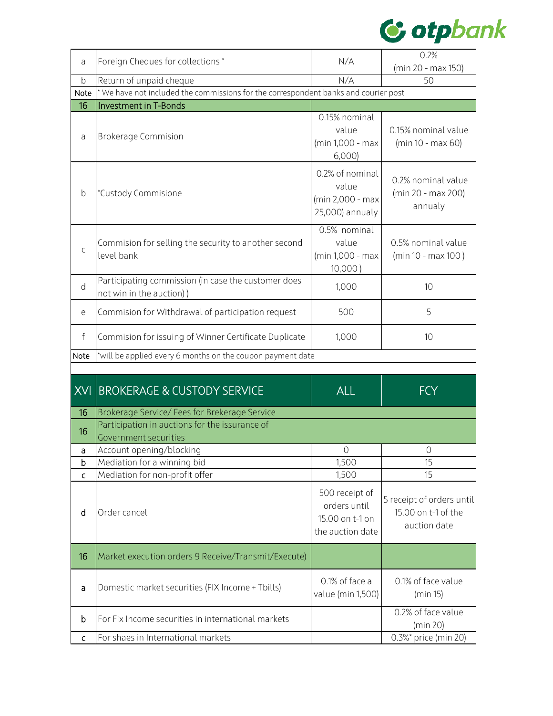

| a            | Foreign Cheques for collections*                                                    | N/A                                                                   | 0.2%                                                             |  |  |  |
|--------------|-------------------------------------------------------------------------------------|-----------------------------------------------------------------------|------------------------------------------------------------------|--|--|--|
|              |                                                                                     |                                                                       | (min 20 - max 150)                                               |  |  |  |
| $\mathsf b$  | Return of unpaid cheque                                                             | N/A                                                                   | 50                                                               |  |  |  |
| Note         | * We have not included the commissions for the correspondent banks and courier post |                                                                       |                                                                  |  |  |  |
| 16           | <b>Investment in T-Bonds</b>                                                        |                                                                       |                                                                  |  |  |  |
| a            | <b>Brokerage Commision</b>                                                          | 0.15% nominal<br>value<br>(min 1,000 - max<br>6,000                   | 0.15% nominal value<br>$(min 10 - max 60)$                       |  |  |  |
| b            | *Custody Commisione                                                                 | 0.2% of nominal<br>value<br>(min 2,000 - max<br>25,000) annualy       | 0.2% nominal value<br>(min 20 - max 200)<br>annualy              |  |  |  |
| $\mathsf{C}$ | Commision for selling the security to another second<br>level bank                  | 0.5% nominal<br>value<br>(min 1,000 - max<br>10,000)                  | 0.5% nominal value<br>(min 10 - max 100)                         |  |  |  |
| d            | Participating commission (in case the customer does<br>not win in the auction))     | 1,000                                                                 | 10                                                               |  |  |  |
| е            | Commision for Withdrawal of participation request                                   | 500                                                                   | 5                                                                |  |  |  |
| f            | Commision for issuing of Winner Certificate Duplicate                               | 1,000                                                                 | 10                                                               |  |  |  |
|              |                                                                                     |                                                                       |                                                                  |  |  |  |
| Note         | *will be applied every 6 months on the coupon payment date                          |                                                                       |                                                                  |  |  |  |
|              |                                                                                     |                                                                       |                                                                  |  |  |  |
| XVI          | <b>BROKERAGE &amp; CUSTODY SERVICE</b>                                              | <b>ALL</b>                                                            | $\overline{\mathsf{FCY}}$                                        |  |  |  |
| 16           | Brokerage Service/ Fees for Brekerage Service                                       |                                                                       |                                                                  |  |  |  |
|              | Participation in auctions for the issurance of                                      |                                                                       |                                                                  |  |  |  |
| 16           | <b>Government securities</b>                                                        |                                                                       |                                                                  |  |  |  |
| a            | Account opening/blocking                                                            | $\mathbf 0$                                                           | $\circ$                                                          |  |  |  |
| b            | Mediation for a winning bid                                                         | 1,500                                                                 | 15                                                               |  |  |  |
| $\mathsf{C}$ | Mediation for non-profit offer                                                      | 1,500                                                                 | 15                                                               |  |  |  |
| d            | Order cancel                                                                        | 500 receipt of<br>orders until<br>15.00 on t-1 on<br>the auction date | 5 receipt of orders until<br>15.00 on t-1 of the<br>auction date |  |  |  |
| 16           | Market execution orders 9 Receive/Transmit/Execute)                                 |                                                                       |                                                                  |  |  |  |
| a            | Domestic market securities (FIX Income + Tbills)                                    | 0.1% of face a<br>value (min 1,500)                                   | 0.1% of face value<br>(min 15)                                   |  |  |  |
| b            | For Fix Income securities in international markets                                  |                                                                       | 0.2% of face value<br>(min 20)                                   |  |  |  |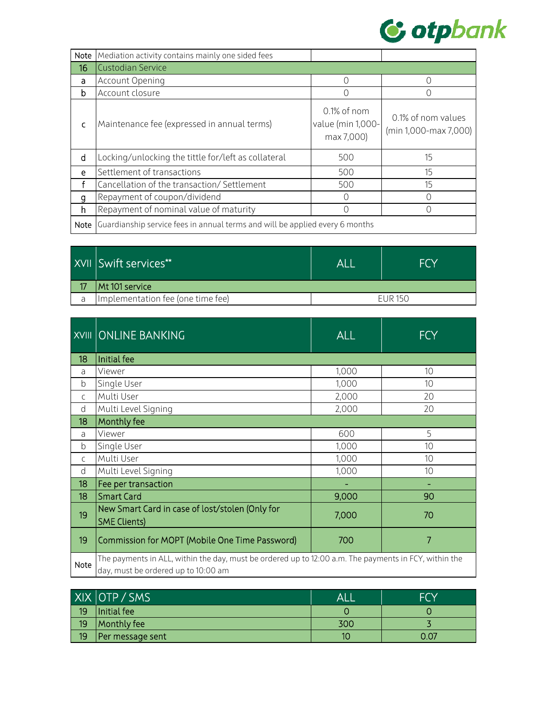

| Note | Mediation activity contains mainly one sided fees                            |                                                |                                             |
|------|------------------------------------------------------------------------------|------------------------------------------------|---------------------------------------------|
| 16   | <b>Custodian Service</b>                                                     |                                                |                                             |
| a    | Account Opening                                                              | ∩                                              | $\left( \right)$                            |
| b    | Account closure                                                              |                                                |                                             |
| Ċ    | Maintenance fee (expressed in annual terms)                                  | 0.1% of nom<br>value (min 1,000-<br>max 7,000) | 0.1% of nom values<br>(min 1,000-max 7,000) |
| d    | Locking/unlocking the tittle for/left as collateral                          | 500                                            | 15                                          |
| e    | Settlement of transactions                                                   | 500                                            | 15                                          |
| £    | Cancellation of the transaction/ Settlement                                  | 500                                            | 15                                          |
| g    | Repayment of coupon/dividend                                                 |                                                | Ω                                           |
| h    | Repayment of nominal value of maturity                                       |                                                | Ω                                           |
| Note | Guardianship service fees in annual terms and will be applied every 6 months |                                                |                                             |

|   | XVII Swift services**             | AL             | <b>FCY</b> |
|---|-----------------------------------|----------------|------------|
|   | Mt 101 service                    |                |            |
| a | Implementation fee (one time fee) | <b>FUR 150</b> |            |

|                 | XVIII ONLINE BANKING                                                                                                                         | <b>ALL</b> | <b>FCY</b> |
|-----------------|----------------------------------------------------------------------------------------------------------------------------------------------|------------|------------|
| 18              | Initial fee                                                                                                                                  |            |            |
| a               | Viewer                                                                                                                                       | 1,000      | 10         |
| b               | Single User                                                                                                                                  | 1,000      | 10         |
| C.              | Multi User                                                                                                                                   | 2,000      | 20         |
| d               | Multi Level Signing                                                                                                                          | 2,000      | 20         |
| 18              | Monthly fee                                                                                                                                  |            |            |
| a               | Viewer                                                                                                                                       | 600        | 5          |
| b               | Single User                                                                                                                                  | 1,000      | 10         |
| $\mathsf{C}$    | Multi User                                                                                                                                   | 1,000      | 10         |
| d               | Multi Level Signing                                                                                                                          | 1,000      | 10         |
| 18              | Fee per transaction                                                                                                                          |            |            |
| 18 <sup>°</sup> | <b>Smart Card</b>                                                                                                                            | 9,000      | 90         |
| 19              | New Smart Card in case of lost/stolen (Only for<br><b>SME Clients)</b>                                                                       | 7,000      | 70         |
| 19              | Commission for MOPT (Mobile One Time Password)                                                                                               | 700        | 7          |
| Note            | The payments in ALL, within the day, must be ordered up to 12:00 a.m. The payments in FCY, within the<br>day, must be ordered up to 10:00 am |            |            |

|    | XIX OTP / SMS    | AL  |      |
|----|------------------|-----|------|
| 19 | Initial fee      |     |      |
| 19 | Monthly fee      | 300 |      |
| 19 | Per message sent | 10  | 0.07 |